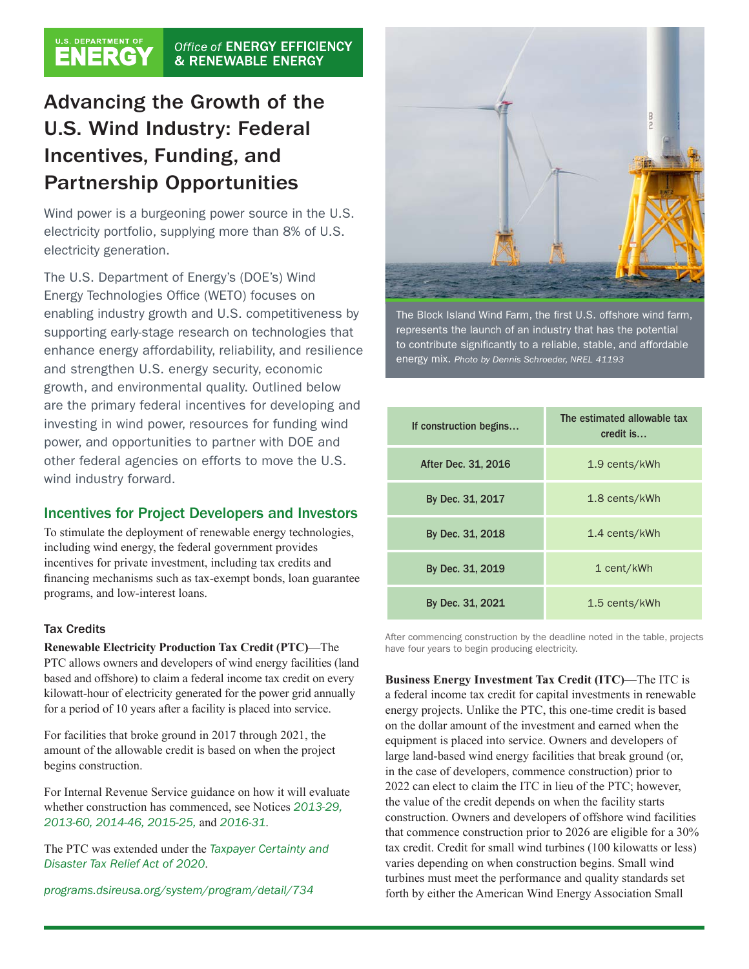#### U.S. DEPARTMENT OF Office of ENERGY EFFICIENCY & RENEWABLE ENERGY

# Advancing the Growth of the U.S. Wind Industry: Federal Incentives, Funding, and Partnership Opportunities

Wind power is a burgeoning power source in the U.S. electricity portfolio, supplying more than 8% of U.S. electricity generation.

The U.S. Department of Energy's (DOE's) Wind Energy Technologies Office (WETO) focuses on enabling industry growth and U.S. competitiveness by supporting early-stage research on technologies that enhance energy affordability, reliability, and resilience and strengthen U.S. energy security, economic growth, and environmental quality. Outlined below are the primary federal incentives for developing and investing in wind power, resources for funding wind power, and opportunities to partner with DOE and other federal agencies on efforts to move the U.S. wind industry forward.

# Incentives for Project Developers and Investors

To stimulate the deployment of renewable energy technologies, including wind energy, the federal government provides incentives for private investment, including tax credits and financing mechanisms such as tax-exempt bonds, loan guarantee programs, and low-interest loans.

# Tax Credits

**Renewable Electricity Production Tax Credit (PTC)**—The PTC allows owners and developers of wind energy facilities (land based and offshore) to claim a federal income tax credit on every kilowatt-hour of electricity generated for the power grid annually for a period of 10 years after a facility is placed into service.

For facilities that broke ground in 2017 through 2021, the amount of the allowable credit is based on when the project begins construction.

For Internal Revenue Service guidance on how it will evaluate whether construction has commenced, see Notices *[2013-29](https://www.irs.gov/irb/2013-20_IRB), [2013-60](https://www.irs.gov/pub/irs-drop/n-13-60.pdf), [2014-46,](https://www.irs.gov/pub/irs-drop/n-14-46.pdf) [2015-25,](https://www.irs.gov/pub/irs-drop/n-15-25.pdf)* and *[2016-31](https://www.irs.gov/pub/irs-drop/n-16-31.pdf)*.

The PTC was extended under the *[Taxpayer Certainty and](https://www.finance.senate.gov/download/section-by-section_-taxpayer-certainty-and-disaster-tax-relief-act-of-2020)  [Disaster Tax Relief Act of 2020](https://www.finance.senate.gov/download/section-by-section_-taxpayer-certainty-and-disaster-tax-relief-act-of-2020)*.

*[programs.dsireusa.org/system/program/detail/734](http://programs.dsireusa.org/system/program/detail/734)*



The Block Island Wind Farm, the first U.S. offshore wind farm, represents the launch of an industry that has the potential to contribute significantly to a reliable, stable, and affordable energy mix. *Photo by Dennis Schroeder, NREL 41193*

| If construction begins | The estimated allowable tax<br>credit is |
|------------------------|------------------------------------------|
| After Dec. 31, 2016    | 1.9 cents/kWh                            |
| By Dec. 31, 2017       | 1.8 cents/kWh                            |
| By Dec. 31, 2018       | 1.4 cents/kWh                            |
| By Dec. 31, 2019       | 1 cent/kWh                               |
| By Dec. 31, 2021       | 1.5 cents/kWh                            |

After commencing construction by the deadline noted in the table, projects have four years to begin producing electricity.

**Business Energy Investment Tax Credit (ITC)**—The ITC is a federal income tax credit for capital investments in renewable energy projects. Unlike the PTC, this one-time credit is based on the dollar amount of the investment and earned when the equipment is placed into service. Owners and developers of large land-based wind energy facilities that break ground (or, in the case of developers, commence construction) prior to 2022 can elect to claim the ITC in lieu of the PTC; however, the value of the credit depends on when the facility starts construction. Owners and developers of offshore wind facilities that commence construction prior to 2026 are eligible for a 30% tax credit. Credit for small wind turbines (100 kilowatts or less) varies depending on when construction begins. Small wind turbines must meet the performance and quality standards set forth by either the American Wind Energy Association Small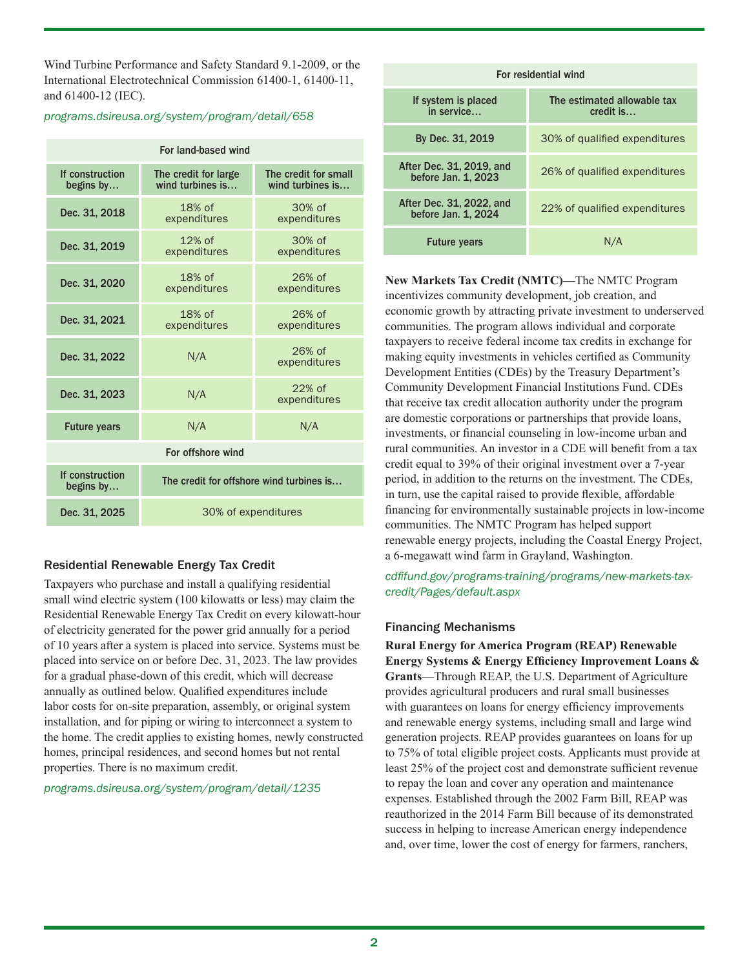Wind Turbine Performance and Safety Standard 9.1-2009, or the International Electrotechnical Commission 61400-1, 61400-11, and 61400-12 (IEC).

#### *[programs.dsireusa.org/system/program/detail/658](http://programs.dsireusa.org/system/program/detail/658)*

| For land-based wind          |                                          |                                          |
|------------------------------|------------------------------------------|------------------------------------------|
| If construction<br>begins by | The credit for large<br>wind turbines is | The credit for small<br>wind turbines is |
| Dec. 31, 2018                | $18%$ of<br>expenditures                 | 30% of<br>expenditures                   |
| Dec. 31, 2019                | $12%$ of<br>expenditures                 | $30%$ of<br>expenditures                 |
| Dec. 31, 2020                | $18%$ of<br>expenditures                 | 26% of<br>expenditures                   |
| Dec. 31, 2021                | 18% of<br>expenditures                   | 26% of<br>expenditures                   |
| Dec. 31, 2022                | N/A                                      | $26%$ of<br>expenditures                 |
| Dec. 31, 2023                | N/A                                      | 22% of<br>expenditures                   |
| <b>Future years</b>          | N/A                                      | N/A                                      |
| For offshore wind            |                                          |                                          |
| If construction<br>begins by | The credit for offshore wind turbines is |                                          |
| Dec. 31, 2025                | 30% of expenditures                      |                                          |

# Residential Renewable Energy Tax Credit

Taxpayers who purchase and install a qualifying residential small wind electric system (100 kilowatts or less) may claim the Residential Renewable Energy Tax Credit on every kilowatt-hour of electricity generated for the power grid annually for a period of 10 years after a system is placed into service. Systems must be placed into service on or before Dec. 31, 2023. The law provides for a gradual phase-down of this credit, which will decrease annually as outlined below. Qualified expenditures include labor costs for on-site preparation, assembly, or original system installation, and for piping or wiring to interconnect a system to the home. The credit applies to existing homes, newly constructed homes, principal residences, and second homes but not rental properties. There is no maximum credit.

*[programs.dsireusa.org/system/program/detail/1235](http://programs.dsireusa.org/system/program/detail/1235)*

| For residential wind                            |                                          |
|-------------------------------------------------|------------------------------------------|
| If system is placed<br>in service               | The estimated allowable tax<br>credit is |
| By Dec. 31, 2019                                | 30% of qualified expenditures            |
| After Dec. 31, 2019, and<br>before Jan. 1, 2023 | 26% of qualified expenditures            |
| After Dec. 31, 2022, and<br>before Jan. 1, 2024 | 22% of qualified expenditures            |
| <b>Future years</b>                             | N/A                                      |

**New Markets Tax Credit (NMTC)—**The NMTC Program incentivizes community development, job creation, and economic growth by attracting private investment to underserved communities. The program allows individual and corporate taxpayers to receive federal income tax credits in exchange for making equity investments in vehicles certified as Community Development Entities (CDEs) by the Treasury Department's Community Development Financial Institutions Fund. CDEs that receive tax credit allocation authority under the program are domestic corporations or partnerships that provide loans, investments, or financial counseling in low-income urban and rural communities. An investor in a CDE will benefit from a tax credit equal to 39% of their original investment over a 7-year period, in addition to the returns on the investment. The CDEs, in turn, use the capital raised to provide flexible, affordable financing for environmentally sustainable projects in low-income communities. The NMTC Program has helped support renewable energy projects, including the Coastal Energy Project, a 6-megawatt wind farm in Grayland, Washington.

*[cdfifund.gov/programs-training/programs/new-markets-tax](https://www.cdfifund.gov/programs-training/Programs/new-markets-tax-credit/Pages/default.aspx)[credit/Pages/default.aspx](https://www.cdfifund.gov/programs-training/Programs/new-markets-tax-credit/Pages/default.aspx)*

# Financing Mechanisms

**Rural Energy for America Program (REAP) Renewable Energy Systems & Energy Efficiency Improvement Loans & Grants**—Through REAP, the U.S. Department of Agriculture provides agricultural producers and rural small businesses with guarantees on loans for energy efficiency improvements and renewable energy systems, including small and large wind generation projects. REAP provides guarantees on loans for up to 75% of total eligible project costs. Applicants must provide at least 25% of the project cost and demonstrate sufficient revenue to repay the loan and cover any operation and maintenance expenses. Established through the 2002 Farm Bill, REAP was reauthorized in the 2014 Farm Bill because of its demonstrated success in helping to increase American energy independence and, over time, lower the cost of energy for farmers, ranchers,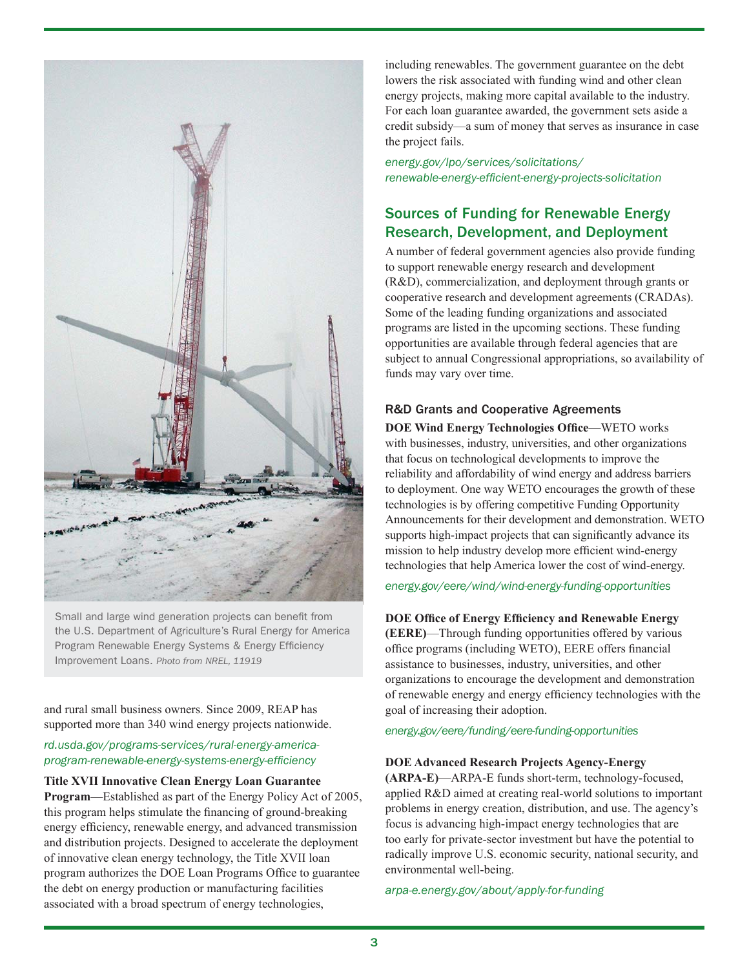

Small and large wind generation projects can benefit from the U.S. Department of Agriculture's Rural Energy for America Program Renewable Energy Systems & Energy Efficiency Improvement Loans. *Photo from NREL, 11919*

and rural small business owners. Since 2009, REAP has supported more than 340 wind energy projects nationwide.

## *[rd.usda.gov/programs-services/rural-energy-america](https://rd.usda.gov/programs-services/rural-energy-america-program-renewable-energy-systems-energy-efficiency)[program-renewable-energy-systems-energy-efficiency](https://rd.usda.gov/programs-services/rural-energy-america-program-renewable-energy-systems-energy-efficiency)*

**Title XVII Innovative Clean Energy Loan Guarantee Program**—Established as part of the Energy Policy Act of 2005, this program helps stimulate the financing of ground-breaking energy efficiency, renewable energy, and advanced transmission and distribution projects. Designed to accelerate the deployment of innovative clean energy technology, the Title XVII loan program authorizes the DOE Loan Programs Office to guarantee the debt on energy production or manufacturing facilities associated with a broad spectrum of energy technologies,

including renewables. The government guarantee on the debt lowers the risk associated with funding wind and other clean energy projects, making more capital available to the industry. For each loan guarantee awarded, the government sets aside a credit subsidy—a sum of money that serves as insurance in case the project fails.

*[energy.gov/lpo/services/solicitations/](https://www.energy.gov/lpo/services/solicitations/renewable-energy-efficient-energy-projects-solicitation) [renewable-energy-efficient-energy-projects-solicitation](https://www.energy.gov/lpo/services/solicitations/renewable-energy-efficient-energy-projects-solicitation)*

# Sources of Funding for Renewable Energy Research, Development, and Deployment

A number of federal government agencies also provide funding to support renewable energy research and development (R&D), commercialization, and deployment through grants or cooperative research and development agreements (CRADAs). Some of the leading funding organizations and associated programs are listed in the upcoming sections. These funding opportunities are available through federal agencies that are subject to annual Congressional appropriations, so availability of funds may vary over time.

# R&D Grants and Cooperative Agreements

**DOE Wind Energy Technologies Office**—WETO works with businesses, industry, universities, and other organizations that focus on technological developments to improve the reliability and affordability of wind energy and address barriers to deployment. One way WETO encourages the growth of these technologies is by offering competitive Funding Opportunity Announcements for their development and demonstration. WETO supports high-impact projects that can significantly advance its mission to help industry develop more efficient wind-energy technologies that help America lower the cost of wind-energy.

*[energy.gov/eere/wind/wind-energy-funding-opportunities](https://www.energy.gov/eere/wind/wind-energy-funding-opportunities)*

### **DOE Office of Energy Efficiency and Renewable Energy**

**(EERE)**—Through funding opportunities offered by various office programs (including WETO), EERE offers financial assistance to businesses, industry, universities, and other organizations to encourage the development and demonstration of renewable energy and energy efficiency technologies with the goal of increasing their adoption.

*[energy.gov/eere/funding/eere-funding-opportunities](https://www.energy.gov/eere/funding/eere-funding)*

### **DOE Advanced Research Projects Agency-Energy**

**(ARPA-E)**—ARPA-E funds short-term, technology-focused, applied R&D aimed at creating real-world solutions to important problems in energy creation, distribution, and use. The agency's focus is advancing high-impact energy technologies that are too early for private-sector investment but have the potential to radically improve U.S. economic security, national security, and environmental well-being.

*[arpa-e.energy.gov/about/apply-for-funding](https://arpa-e.energy.gov/about/apply-for-funding)*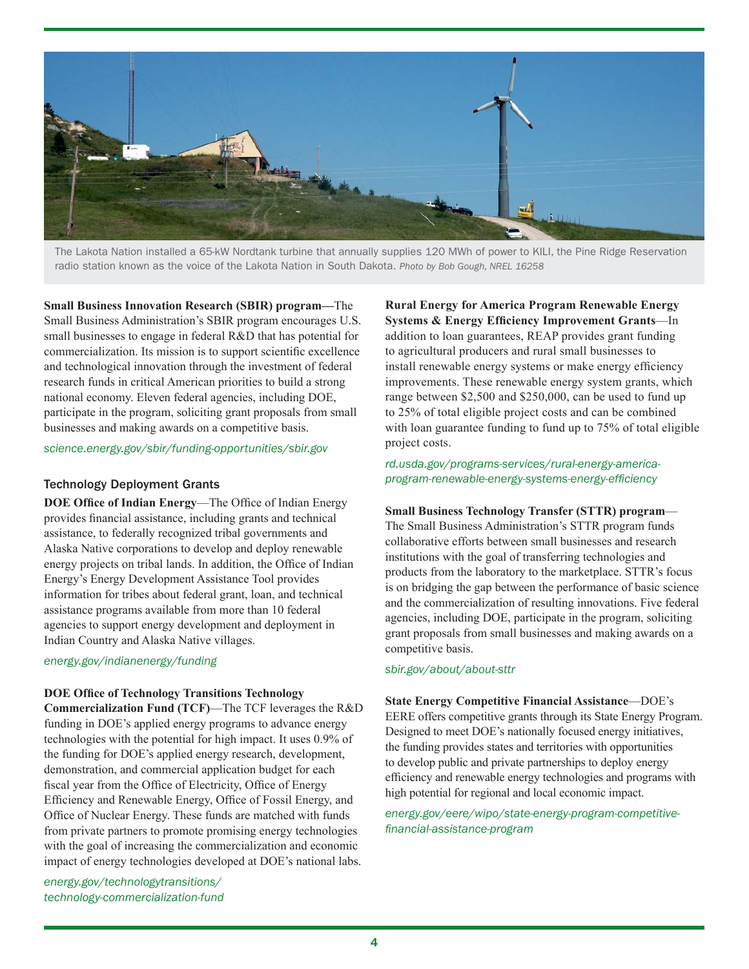

The Lakota Nation installed a 65-kW Nordtank turbine that annually supplies 120 MWh of power to KILI, the Pine Ridge Reservation radio station known as the voice of the Lakota Nation in South Dakota. *Photo by Bob Gough, NREL 16258*

**Small Business Innovation Research (SBIR) program—**The Small Business Administration's SBIR program encourages U.S. small businesses to engage in federal R&D that has potential for commercialization. Its mission is to support scientific excellence and technological innovation through the investment of federal research funds in critical American priorities to build a strong national economy. Eleven federal agencies, including DOE, participate in the program, soliciting grant proposals from small businesses and making awards on a competitive basis.

#### *[science.energy.gov/sbir/funding-opportunities/sbir.gov](https://science.energy.gov/sbir/funding-opportunities/)*

#### Technology Deployment Grants

**DOE Office of Indian Energy**—The Office of Indian Energy provides financial assistance, including grants and technical assistance, to federally recognized tribal governments and Alaska Native corporations to develop and deploy renewable energy projects on tribal lands. In addition, the Office of Indian Energy's Energy Development Assistance Tool provides information for tribes about federal grant, loan, and technical assistance programs available from more than 10 federal agencies to support energy development and deployment in Indian Country and Alaska Native villages.

*[energy.gov/indianenergy/funding](https://www.energy.gov/indianenergy/funding)*

#### **DOE Office of Technology Transitions Technology**

**Commercialization Fund (TCF)**—The TCF leverages the R&D funding in DOE's applied energy programs to advance energy technologies with the potential for high impact. It uses 0.9% of the funding for DOE's applied energy research, development, demonstration, and commercial application budget for each fiscal year from the Office of Electricity, Office of Energy Efficiency and Renewable Energy, Office of Fossil Energy, and Office of Nuclear Energy. These funds are matched with funds from private partners to promote promising energy technologies with the goal of increasing the commercialization and economic impact of energy technologies developed at DOE's national labs.

*[energy.gov/technologytransitions/](https://www.energy.gov/technologytransitions/services/technology-commercialization-fund) [technology-commercialization-fund](https://www.energy.gov/technologytransitions/services/technology-commercialization-fund)* **Rural Energy for America Program Renewable Energy Systems & Energy Efficiency Improvement Grants**—In addition to loan guarantees, REAP provides grant funding to agricultural producers and rural small businesses to install renewable energy systems or make energy efficiency improvements. These renewable energy system grants, which range between \$2,500 and \$250,000, can be used to fund up to 25% of total eligible project costs and can be combined with loan guarantee funding to fund up to 75% of total eligible project costs.

## *[rd.usda.gov/programs-services/rural-energy-america](https://www.rd.usda.gov/programs-services/rural-energy-america-program-renewable-energy-systems-energy-efficiency)[program-renewable-energy-systems-energy-efficiency](https://www.rd.usda.gov/programs-services/rural-energy-america-program-renewable-energy-systems-energy-efficiency)*

#### **Small Business Technology Transfer (STTR) program**—

The Small Business Administration's STTR program funds collaborative efforts between small businesses and research institutions with the goal of transferring technologies and products from the laboratory to the marketplace. STTR's focus is on bridging the gap between the performance of basic science and the commercialization of resulting innovations. Five federal agencies, including DOE, participate in the program, soliciting grant proposals from small businesses and making awards on a competitive basis.

#### *[sbir.gov/about/about-sttr](http://sbir.gov/about/about-sttr)*

**State Energy Competitive Financial Assistance**—DOE's EERE offers competitive grants through its State Energy Program. Designed to meet DOE's nationally focused energy initiatives, the funding provides states and territories with opportunities to develop public and private partnerships to deploy energy efficiency and renewable energy technologies and programs with high potential for regional and local economic impact.

*[energy.gov/eere/wipo/state-energy-program-competitive](https://www.energy.gov/eere/wipo/state-energy-program-competitive-financial-assistance-program)[financial-assistance-program](https://www.energy.gov/eere/wipo/state-energy-program-competitive-financial-assistance-program)*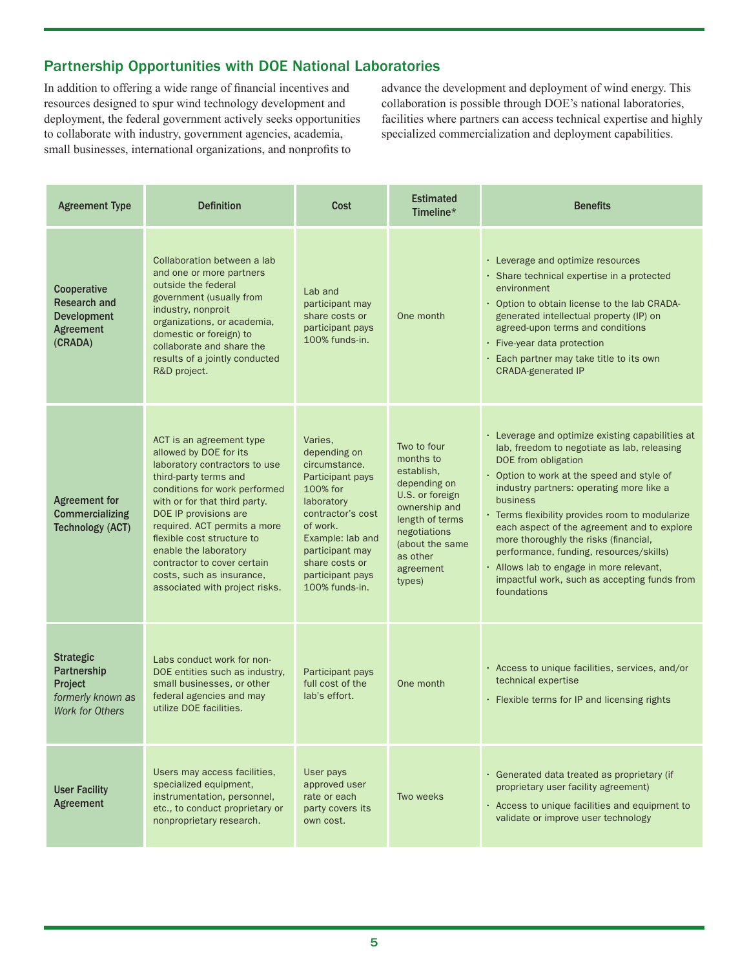# Partnership Opportunities with DOE National Laboratories

In addition to offering a wide range of financial incentives and resources designed to spur wind technology development and deployment, the federal government actively seeks opportunities to collaborate with industry, government agencies, academia, small businesses, international organizations, and nonprofits to

advance the development and deployment of wind energy. This collaboration is possible through DOE's national laboratories, facilities where partners can access technical expertise and highly specialized commercialization and deployment capabilities.

| <b>Agreement Type</b>                                                                     | <b>Definition</b>                                                                                                                                                                                                                                                                                                                                                                            | Cost                                                                                                                                                                                                                   | <b>Estimated</b><br>Timeline $*$                                                                                                                                                    | <b>Benefits</b>                                                                                                                                                                                                                                                                                                                                                                                                                                                                                                               |
|-------------------------------------------------------------------------------------------|----------------------------------------------------------------------------------------------------------------------------------------------------------------------------------------------------------------------------------------------------------------------------------------------------------------------------------------------------------------------------------------------|------------------------------------------------------------------------------------------------------------------------------------------------------------------------------------------------------------------------|-------------------------------------------------------------------------------------------------------------------------------------------------------------------------------------|-------------------------------------------------------------------------------------------------------------------------------------------------------------------------------------------------------------------------------------------------------------------------------------------------------------------------------------------------------------------------------------------------------------------------------------------------------------------------------------------------------------------------------|
| Cooperative<br><b>Research and</b><br><b>Development</b><br>Agreement<br>(CRADA)          | Collaboration between a lab<br>and one or more partners<br>outside the federal<br>government (usually from<br>industry, nonproit<br>organizations, or academia,<br>domestic or foreign) to<br>collaborate and share the<br>results of a jointly conducted<br>R&D project.                                                                                                                    | Lab and<br>participant may<br>share costs or<br>participant pays<br>100% funds-in.                                                                                                                                     | One month                                                                                                                                                                           | • Leverage and optimize resources<br>· Share technical expertise in a protected<br>environment<br>• Option to obtain license to the lab CRADA-<br>generated intellectual property (IP) on<br>agreed-upon terms and conditions<br>$\cdot$ Five-year data protection<br>· Each partner may take title to its own<br><b>CRADA-generated IP</b>                                                                                                                                                                                   |
| <b>Agreement for</b><br><b>Commercializing</b><br><b>Technology (ACT)</b>                 | ACT is an agreement type<br>allowed by DOE for its<br>laboratory contractors to use<br>third-party terms and<br>conditions for work performed<br>with or for that third party.<br>DOE IP provisions are<br>required. ACT permits a more<br>flexible cost structure to<br>enable the laboratory<br>contractor to cover certain<br>costs, such as insurance,<br>associated with project risks. | Varies.<br>depending on<br>circumstance.<br>Participant pays<br>100% for<br>laboratory<br>contractor's cost<br>of work.<br>Example: lab and<br>participant may<br>share costs or<br>participant pays<br>100% funds-in. | Two to four<br>months to<br>establish.<br>depending on<br>U.S. or foreign<br>ownership and<br>length of terms<br>negotiations<br>(about the same<br>as other<br>agreement<br>types) | • Leverage and optimize existing capabilities at<br>lab, freedom to negotiate as lab, releasing<br>DOE from obligation<br>• Option to work at the speed and style of<br>industry partners: operating more like a<br>business<br>• Terms flexibility provides room to modularize<br>each aspect of the agreement and to explore<br>more thoroughly the risks (financial,<br>performance, funding, resources/skills)<br>. Allows lab to engage in more relevant,<br>impactful work, such as accepting funds from<br>foundations |
| <b>Strategic</b><br>Partnership<br>Project<br>formerly known as<br><b>Work for Others</b> | Labs conduct work for non-<br>DOE entities such as industry,<br>small businesses, or other<br>federal agencies and may<br>utilize DOE facilities.                                                                                                                                                                                                                                            | Participant pays<br>full cost of the<br>lab's effort.                                                                                                                                                                  | One month                                                                                                                                                                           | · Access to unique facilities, services, and/or<br>technical expertise<br>• Flexible terms for IP and licensing rights                                                                                                                                                                                                                                                                                                                                                                                                        |
| <b>User Facility</b><br>Agreement                                                         | Users may access facilities,<br>specialized equipment,<br>instrumentation, personnel,<br>etc., to conduct proprietary or<br>nonproprietary research.                                                                                                                                                                                                                                         | User pays<br>approved user<br>rate or each<br>party covers its<br>own cost.                                                                                                                                            | Two weeks                                                                                                                                                                           | · Generated data treated as proprietary (if<br>proprietary user facility agreement)<br>. Access to unique facilities and equipment to<br>validate or improve user technology                                                                                                                                                                                                                                                                                                                                                  |